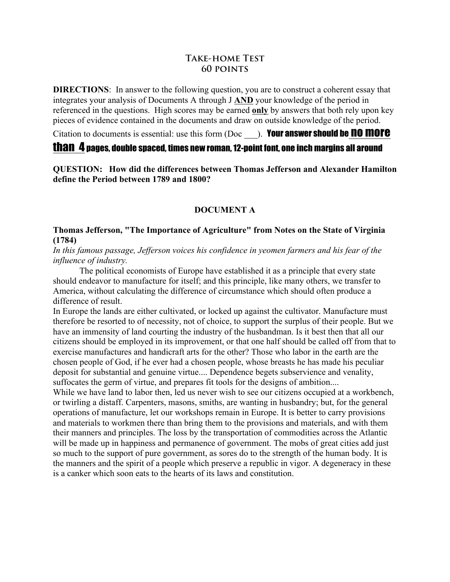# **Take-home Test 60 points**

**DIRECTIONS:** In answer to the following question, you are to construct a coherent essay that integrates your analysis of Documents A through J **AND** your knowledge of the period in referenced in the questions. High scores may be earned **only** by answers that both rely upon key pieces of evidence contained in the documents and draw on outside knowledge of the period.

Citation to documents is essential: use this form  $(Doc$ ). Your answer should be **no more** 

# than 4 pages, double spaced, times new roman, 12-point font, one inch margins all around

**QUESTION: How did the differences between Thomas Jefferson and Alexander Hamilton define the Period between 1789 and 1800?**

# **DOCUMENT A**

## **Thomas Jefferson, "The Importance of Agriculture" from Notes on the State of Virginia (1784)**

*In this famous passage, Jefferson voices his confidence in yeomen farmers and his fear of the influence of industry.* 

The political economists of Europe have established it as a principle that every state should endeavor to manufacture for itself; and this principle, like many others, we transfer to America, without calculating the difference of circumstance which should often produce a difference of result.

In Europe the lands are either cultivated, or locked up against the cultivator. Manufacture must therefore be resorted to of necessity, not of choice, to support the surplus of their people. But we have an immensity of land courting the industry of the husbandman. Is it best then that all our citizens should be employed in its improvement, or that one half should be called off from that to exercise manufactures and handicraft arts for the other? Those who labor in the earth are the chosen people of God, if he ever had a chosen people, whose breasts he has made his peculiar deposit for substantial and genuine virtue.... Dependence begets subservience and venality, suffocates the germ of virtue, and prepares fit tools for the designs of ambition....

While we have land to labor then, led us never wish to see our citizens occupied at a workbench, or twirling a distaff. Carpenters, masons, smiths, are wanting in husbandry; but, for the general operations of manufacture, let our workshops remain in Europe. It is better to carry provisions and materials to workmen there than bring them to the provisions and materials, and with them their manners and principles. The loss by the transportation of commodities across the Atlantic will be made up in happiness and permanence of government. The mobs of great cities add just so much to the support of pure government, as sores do to the strength of the human body. It is the manners and the spirit of a people which preserve a republic in vigor. A degeneracy in these is a canker which soon eats to the hearts of its laws and constitution.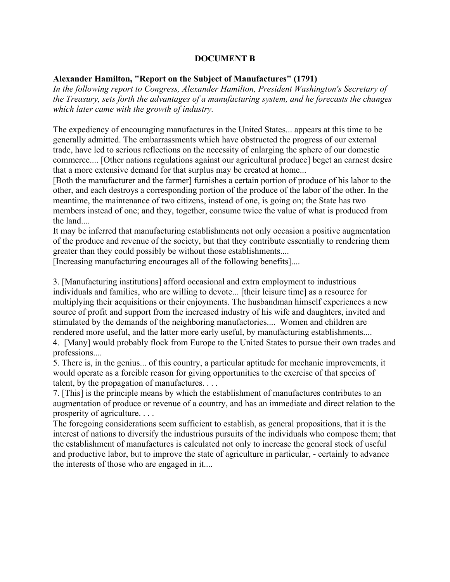## **DOCUMENT B**

## **Alexander Hamilton, "Report on the Subject of Manufactures" (1791)**

*In the following report to Congress, Alexander Hamilton, President Washington's Secretary of the Treasury, sets forth the advantages of a manufacturing system, and he forecasts the changes which later came with the growth of industry.* 

The expediency of encouraging manufactures in the United States... appears at this time to be generally admitted. The embarrassments which have obstructed the progress of our external trade, have led to serious reflections on the necessity of enlarging the sphere of our domestic commerce.... [Other nations regulations against our agricultural produce] beget an earnest desire that a more extensive demand for that surplus may be created at home...

[Both the manufacturer and the farmer] furnishes a certain portion of produce of his labor to the other, and each destroys a corresponding portion of the produce of the labor of the other. In the meantime, the maintenance of two citizens, instead of one, is going on; the State has two members instead of one; and they, together, consume twice the value of what is produced from the land....

It may be inferred that manufacturing establishments not only occasion a positive augmentation of the produce and revenue of the society, but that they contribute essentially to rendering them greater than they could possibly be without those establishments....

[Increasing manufacturing encourages all of the following benefits]....

3. [Manufacturing institutions] afford occasional and extra employment to industrious individuals and families, who are willing to devote... [their leisure time] as a resource for multiplying their acquisitions or their enjoyments. The husbandman himself experiences a new source of profit and support from the increased industry of his wife and daughters, invited and stimulated by the demands of the neighboring manufactories.... Women and children are rendered more useful, and the latter more early useful, by manufacturing establishments....

4. [Many] would probably flock from Europe to the United States to pursue their own trades and professions....

5. There is, in the genius... of this country, a particular aptitude for mechanic improvements, it would operate as a forcible reason for giving opportunities to the exercise of that species of talent, by the propagation of manufactures. . . .

7. [This] is the principle means by which the establishment of manufactures contributes to an augmentation of produce or revenue of a country, and has an immediate and direct relation to the prosperity of agriculture. . . .

The foregoing considerations seem sufficient to establish, as general propositions, that it is the interest of nations to diversify the industrious pursuits of the individuals who compose them; that the establishment of manufactures is calculated not only to increase the general stock of useful and productive labor, but to improve the state of agriculture in particular, - certainly to advance the interests of those who are engaged in it....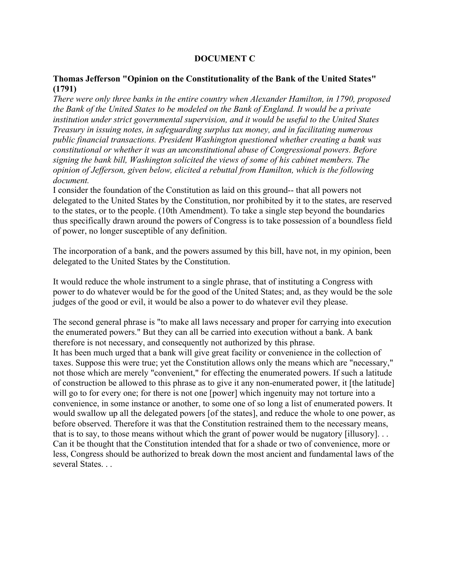## **DOCUMENT C**

## **Thomas Jefferson "Opinion on the Constitutionality of the Bank of the United States" (1791)**

*There were only three banks in the entire country when Alexander Hamilton, in 1790, proposed the Bank of the United States to be modeled on the Bank of England. It would be a private institution under strict governmental supervision, and it would be useful to the United States Treasury in issuing notes, in safeguarding surplus tax money, and in facilitating numerous public financial transactions. President Washington questioned whether creating a bank was constitutional or whether it was an unconstitutional abuse of Congressional powers. Before signing the bank bill, Washington solicited the views of some of his cabinet members. The opinion of Jefferson, given below, elicited a rebuttal from Hamilton, which is the following document.* 

I consider the foundation of the Constitution as laid on this ground-- that all powers not delegated to the United States by the Constitution, nor prohibited by it to the states, are reserved to the states, or to the people. (10th Amendment). To take a single step beyond the boundaries thus specifically drawn around the powers of Congress is to take possession of a boundless field of power, no longer susceptible of any definition.

The incorporation of a bank, and the powers assumed by this bill, have not, in my opinion, been delegated to the United States by the Constitution.

It would reduce the whole instrument to a single phrase, that of instituting a Congress with power to do whatever would be for the good of the United States; and, as they would be the sole judges of the good or evil, it would be also a power to do whatever evil they please.

The second general phrase is "to make all laws necessary and proper for carrying into execution the enumerated powers." But they can all be carried into execution without a bank. A bank therefore is not necessary, and consequently not authorized by this phrase. It has been much urged that a bank will give great facility or convenience in the collection of taxes. Suppose this were true; yet the Constitution allows only the means which are "necessary," not those which are merely "convenient," for effecting the enumerated powers. If such a latitude of construction be allowed to this phrase as to give it any non-enumerated power, it [the latitude] will go to for every one; for there is not one [power] which ingenuity may not torture into a convenience, in some instance or another, to some one of so long a list of enumerated powers. It would swallow up all the delegated powers [of the states], and reduce the whole to one power, as before observed. Therefore it was that the Constitution restrained them to the necessary means, that is to say, to those means without which the grant of power would be nugatory [illusory]. . . Can it be thought that the Constitution intended that for a shade or two of convenience, more or less, Congress should be authorized to break down the most ancient and fundamental laws of the several States.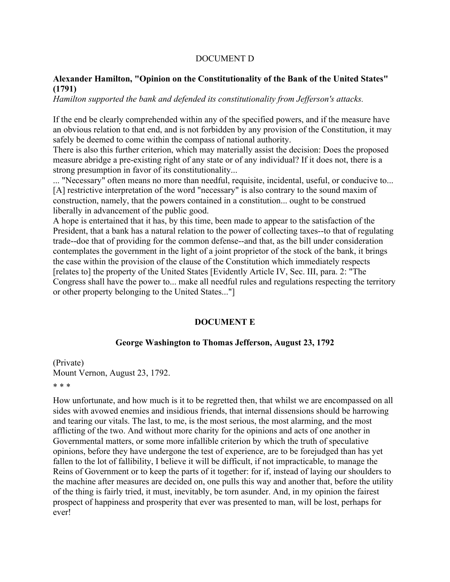### DOCUMENT D

## **Alexander Hamilton, "Opinion on the Constitutionality of the Bank of the United States" (1791)**

*Hamilton supported the bank and defended its constitutionality from Jefferson's attacks.* 

If the end be clearly comprehended within any of the specified powers, and if the measure have an obvious relation to that end, and is not forbidden by any provision of the Constitution, it may safely be deemed to come within the compass of national authority.

There is also this further criterion, which may materially assist the decision: Does the proposed measure abridge a pre-existing right of any state or of any individual? If it does not, there is a strong presumption in favor of its constitutionality...

... "Necessary" often means no more than needful, requisite, incidental, useful, or conducive to... [A] restrictive interpretation of the word "necessary" is also contrary to the sound maxim of construction, namely, that the powers contained in a constitution... ought to be construed liberally in advancement of the public good.

A hope is entertained that it has, by this time, been made to appear to the satisfaction of the President, that a bank has a natural relation to the power of collecting taxes--to that of regulating trade--doe that of providing for the common defense--and that, as the bill under consideration contemplates the government in the light of a joint proprietor of the stock of the bank, it brings the case within the provision of the clause of the Constitution which immediately respects [relates to] the property of the United States [Evidently Article IV, Sec. III, para. 2: "The Congress shall have the power to... make all needful rules and regulations respecting the territory or other property belonging to the United States..."]

#### **DOCUMENT E**

#### **George Washington to Thomas Jefferson, August 23, 1792**

(Private) Mount Vernon, August 23, 1792.

### \* \* \*

How unfortunate, and how much is it to be regretted then, that whilst we are encompassed on all sides with avowed enemies and insidious friends, that internal dissensions should be harrowing and tearing our vitals. The last, to me, is the most serious, the most alarming, and the most afflicting of the two. And without more charity for the opinions and acts of one another in Governmental matters, or some more infallible criterion by which the truth of speculative opinions, before they have undergone the test of experience, are to be forejudged than has yet fallen to the lot of fallibility, I believe it will be difficult, if not impracticable, to manage the Reins of Government or to keep the parts of it together: for if, instead of laying our shoulders to the machine after measures are decided on, one pulls this way and another that, before the utility of the thing is fairly tried, it must, inevitably, be torn asunder. And, in my opinion the fairest prospect of happiness and prosperity that ever was presented to man, will be lost, perhaps for ever!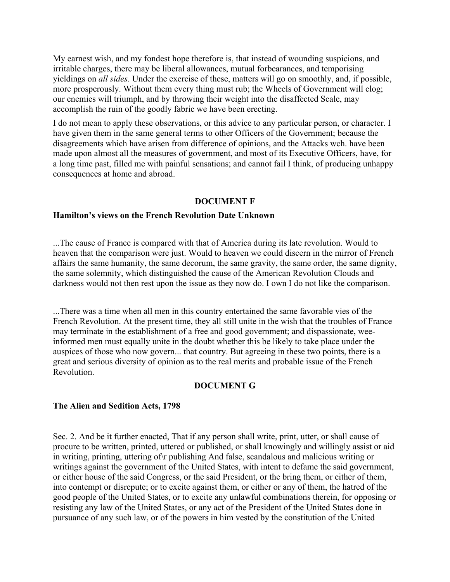My earnest wish, and my fondest hope therefore is, that instead of wounding suspicions, and irritable charges, there may be liberal allowances, mutual forbearances, and temporising yieldings on *all sides*. Under the exercise of these, matters will go on smoothly, and, if possible, more prosperously. Without them every thing must rub; the Wheels of Government will clog; our enemies will triumph, and by throwing their weight into the disaffected Scale, may accomplish the ruin of the goodly fabric we have been erecting.

I do not mean to apply these observations, or this advice to any particular person, or character. I have given them in the same general terms to other Officers of the Government; because the disagreements which have arisen from difference of opinions, and the Attacks wch. have been made upon almost all the measures of government, and most of its Executive Officers, have, for a long time past, filled me with painful sensations; and cannot fail I think, of producing unhappy consequences at home and abroad.

### **DOCUMENT F**

#### **Hamilton's views on the French Revolution Date Unknown**

...The cause of France is compared with that of America during its late revolution. Would to heaven that the comparison were just. Would to heaven we could discern in the mirror of French affairs the same humanity, the same decorum, the same gravity, the same order, the same dignity, the same solemnity, which distinguished the cause of the American Revolution Clouds and darkness would not then rest upon the issue as they now do. I own I do not like the comparison.

...There was a time when all men in this country entertained the same favorable vies of the French Revolution. At the present time, they all still unite in the wish that the troubles of France may terminate in the establishment of a free and good government; and dispassionate, weeinformed men must equally unite in the doubt whether this be likely to take place under the auspices of those who now govern... that country. But agreeing in these two points, there is a great and serious diversity of opinion as to the real merits and probable issue of the French Revolution.

### **DOCUMENT G**

#### **The Alien and Sedition Acts, 1798**

Sec. 2. And be it further enacted, That if any person shall write, print, utter, or shall cause of procure to be written, printed, uttered or published, or shall knowingly and willingly assist or aid in writing, printing, uttering of\r publishing And false, scandalous and malicious writing or writings against the government of the United States, with intent to defame the said government, or either house of the said Congress, or the said President, or the bring them, or either of them, into contempt or disrepute; or to excite against them, or either or any of them, the hatred of the good people of the United States, or to excite any unlawful combinations therein, for opposing or resisting any law of the United States, or any act of the President of the United States done in pursuance of any such law, or of the powers in him vested by the constitution of the United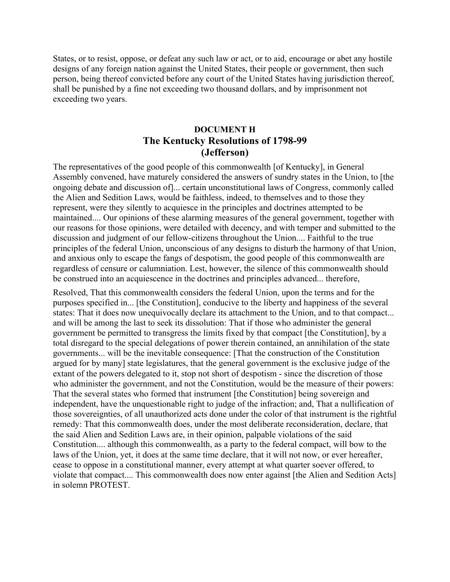States, or to resist, oppose, or defeat any such law or act, or to aid, encourage or abet any hostile designs of any foreign nation against the United States, their people or government, then such person, being thereof convicted before any court of the United States having jurisdiction thereof, shall be punished by a fine not exceeding two thousand dollars, and by imprisonment not exceeding two years.

# **DOCUMENT H The Kentucky Resolutions of 1798-99 (Jefferson)**

The representatives of the good people of this commonwealth [of Kentucky], in General Assembly convened, have maturely considered the answers of sundry states in the Union, to [the ongoing debate and discussion of]... certain unconstitutional laws of Congress, commonly called the Alien and Sedition Laws, would be faithless, indeed, to themselves and to those they represent, were they silently to acquiesce in the principles and doctrines attempted to be maintained.... Our opinions of these alarming measures of the general government, together with our reasons for those opinions, were detailed with decency, and with temper and submitted to the discussion and judgment of our fellow-citizens throughout the Union.... Faithful to the true principles of the federal Union, unconscious of any designs to disturb the harmony of that Union, and anxious only to escape the fangs of despotism, the good people of this commonwealth are regardless of censure or calumniation. Lest, however, the silence of this commonwealth should be construed into an acquiescence in the doctrines and principles advanced... therefore,

Resolved, That this commonwealth considers the federal Union, upon the terms and for the purposes specified in... [the Constitution], conducive to the liberty and happiness of the several states: That it does now unequivocally declare its attachment to the Union, and to that compact... and will be among the last to seek its dissolution: That if those who administer the general government be permitted to transgress the limits fixed by that compact [the Constitution], by a total disregard to the special delegations of power therein contained, an annihilation of the state governments... will be the inevitable consequence: [That the construction of the Constitution argued for by many] state legislatures, that the general government is the exclusive judge of the extant of the powers delegated to it, stop not short of despotism - since the discretion of those who administer the government, and not the Constitution, would be the measure of their powers: That the several states who formed that instrument [the Constitution] being sovereign and independent, have the unquestionable right to judge of the infraction; and, That a nullification of those sovereignties, of all unauthorized acts done under the color of that instrument is the rightful remedy: That this commonwealth does, under the most deliberate reconsideration, declare, that the said Alien and Sedition Laws are, in their opinion, palpable violations of the said Constitution.... although this commonwealth, as a party to the federal compact, will bow to the laws of the Union, yet, it does at the same time declare, that it will not now, or ever hereafter, cease to oppose in a constitutional manner, every attempt at what quarter soever offered, to violate that compact.... This commonwealth does now enter against [the Alien and Sedition Acts] in solemn PROTEST.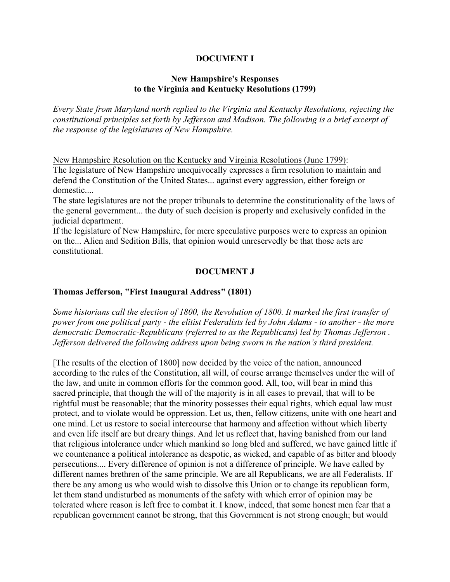## **DOCUMENT I**

## **New Hampshire's Responses to the Virginia and Kentucky Resolutions (1799)**

*Every State from Maryland north replied to the Virginia and Kentucky Resolutions, rejecting the constitutional principles set forth by Jefferson and Madison. The following is a brief excerpt of the response of the legislatures of New Hampshire.* 

New Hampshire Resolution on the Kentucky and Virginia Resolutions (June 1799): The legislature of New Hampshire unequivocally expresses a firm resolution to maintain and defend the Constitution of the United States... against every aggression, either foreign or domestic....

The state legislatures are not the proper tribunals to determine the constitutionality of the laws of the general government... the duty of such decision is properly and exclusively confided in the judicial department.

If the legislature of New Hampshire, for mere speculative purposes were to express an opinion on the... Alien and Sedition Bills, that opinion would unreservedly be that those acts are constitutional.

## **DOCUMENT J**

## **Thomas Jefferson, "First Inaugural Address" (1801)**

*Some historians call the election of 1800, the Revolution of 1800. It marked the first transfer of power from one political party - the elitist Federalists led by John Adams - to another - the more democratic Democratic-Republicans (referred to as the Republicans) led by Thomas Jefferson . Jefferson delivered the following address upon being sworn in the nation's third president.* 

[The results of the election of 1800] now decided by the voice of the nation, announced according to the rules of the Constitution, all will, of course arrange themselves under the will of the law, and unite in common efforts for the common good. All, too, will bear in mind this sacred principle, that though the will of the majority is in all cases to prevail, that will to be rightful must be reasonable; that the minority possesses their equal rights, which equal law must protect, and to violate would be oppression. Let us, then, fellow citizens, unite with one heart and one mind. Let us restore to social intercourse that harmony and affection without which liberty and even life itself are but dreary things. And let us reflect that, having banished from our land that religious intolerance under which mankind so long bled and suffered, we have gained little if we countenance a political intolerance as despotic, as wicked, and capable of as bitter and bloody persecutions.... Every difference of opinion is not a difference of principle. We have called by different names brethren of the same principle. We are all Republicans, we are all Federalists. If there be any among us who would wish to dissolve this Union or to change its republican form, let them stand undisturbed as monuments of the safety with which error of opinion may be tolerated where reason is left free to combat it. I know, indeed, that some honest men fear that a republican government cannot be strong, that this Government is not strong enough; but would